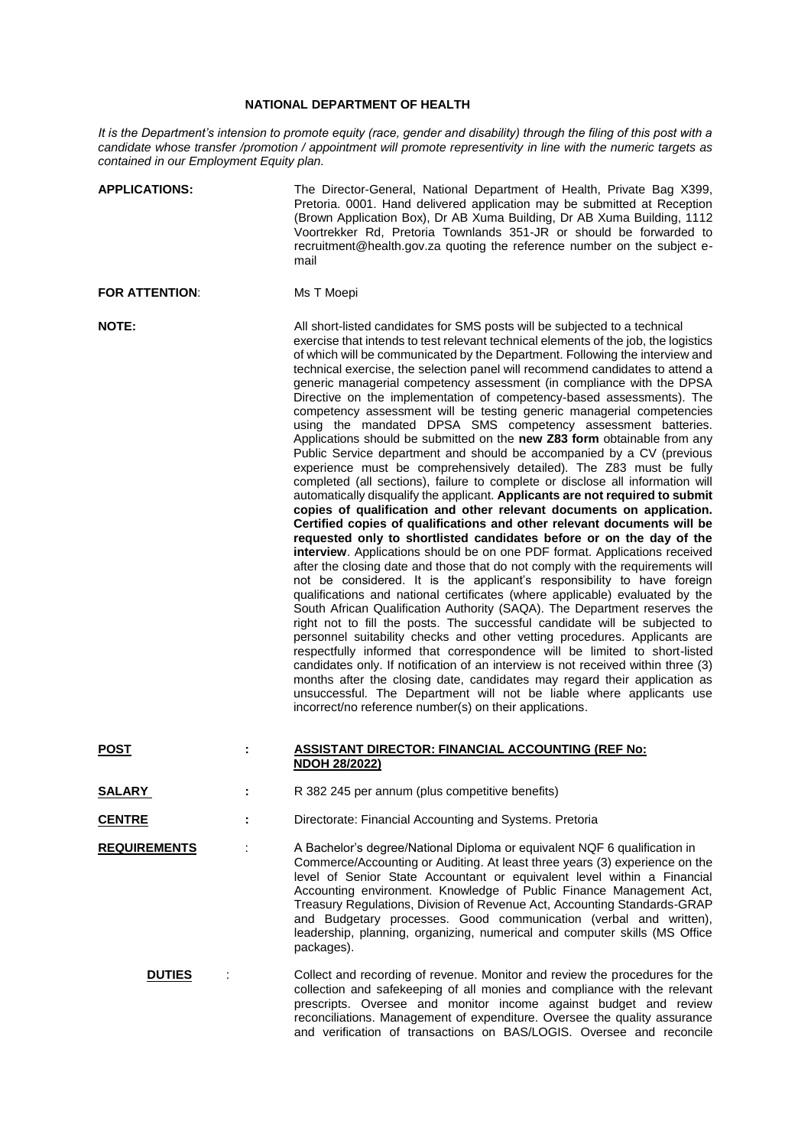## **NATIONAL DEPARTMENT OF HEALTH**

*It is the Department's intension to promote equity (race, gender and disability) through the filing of this post with a candidate whose transfer /promotion / appointment will promote representivity in line with the numeric targets as contained in our Employment Equity plan.*

| <b>APPLICATIONS:</b>  |  | The Director-General, National Department of Health, Private Bag X399,<br>Pretoria. 0001. Hand delivered application may be submitted at Reception<br>(Brown Application Box), Dr AB Xuma Building, Dr AB Xuma Building, 1112<br>Voortrekker Rd, Pretoria Townlands 351-JR or should be forwarded to<br>recruitment@health.gov.za quoting the reference number on the subject e-<br>mail                                                                                                                                                                                                                                                                                                                                                                                                                                                                                                                                                                                                                                                                                                                                                                                                                                                                                                                                                                                                                                                                                                                                                                                                                                                                                                                                                                                                                                                                                                                                                                                                                                                                                                                                                                                                                     |
|-----------------------|--|--------------------------------------------------------------------------------------------------------------------------------------------------------------------------------------------------------------------------------------------------------------------------------------------------------------------------------------------------------------------------------------------------------------------------------------------------------------------------------------------------------------------------------------------------------------------------------------------------------------------------------------------------------------------------------------------------------------------------------------------------------------------------------------------------------------------------------------------------------------------------------------------------------------------------------------------------------------------------------------------------------------------------------------------------------------------------------------------------------------------------------------------------------------------------------------------------------------------------------------------------------------------------------------------------------------------------------------------------------------------------------------------------------------------------------------------------------------------------------------------------------------------------------------------------------------------------------------------------------------------------------------------------------------------------------------------------------------------------------------------------------------------------------------------------------------------------------------------------------------------------------------------------------------------------------------------------------------------------------------------------------------------------------------------------------------------------------------------------------------------------------------------------------------------------------------------------------------|
| <b>FOR ATTENTION:</b> |  | Ms T Moepi                                                                                                                                                                                                                                                                                                                                                                                                                                                                                                                                                                                                                                                                                                                                                                                                                                                                                                                                                                                                                                                                                                                                                                                                                                                                                                                                                                                                                                                                                                                                                                                                                                                                                                                                                                                                                                                                                                                                                                                                                                                                                                                                                                                                   |
| <b>NOTE:</b>          |  | All short-listed candidates for SMS posts will be subjected to a technical<br>exercise that intends to test relevant technical elements of the job, the logistics<br>of which will be communicated by the Department. Following the interview and<br>technical exercise, the selection panel will recommend candidates to attend a<br>generic managerial competency assessment (in compliance with the DPSA<br>Directive on the implementation of competency-based assessments). The<br>competency assessment will be testing generic managerial competencies<br>using the mandated DPSA SMS competency assessment batteries.<br>Applications should be submitted on the new Z83 form obtainable from any<br>Public Service department and should be accompanied by a CV (previous<br>experience must be comprehensively detailed). The Z83 must be fully<br>completed (all sections), failure to complete or disclose all information will<br>automatically disqualify the applicant. Applicants are not required to submit<br>copies of qualification and other relevant documents on application.<br>Certified copies of qualifications and other relevant documents will be<br>requested only to shortlisted candidates before or on the day of the<br>interview. Applications should be on one PDF format. Applications received<br>after the closing date and those that do not comply with the requirements will<br>not be considered. It is the applicant's responsibility to have foreign<br>qualifications and national certificates (where applicable) evaluated by the<br>South African Qualification Authority (SAQA). The Department reserves the<br>right not to fill the posts. The successful candidate will be subjected to<br>personnel suitability checks and other vetting procedures. Applicants are<br>respectfully informed that correspondence will be limited to short-listed<br>candidates only. If notification of an interview is not received within three (3)<br>months after the closing date, candidates may regard their application as<br>unsuccessful. The Department will not be liable where applicants use<br>incorrect/no reference number(s) on their applications. |
| <b>POST</b>           |  | <b>ASSISTANT DIRECTOR: FINANCIAL ACCOUNTING (REF No:</b><br><b>NDOH 28/2022)</b>                                                                                                                                                                                                                                                                                                                                                                                                                                                                                                                                                                                                                                                                                                                                                                                                                                                                                                                                                                                                                                                                                                                                                                                                                                                                                                                                                                                                                                                                                                                                                                                                                                                                                                                                                                                                                                                                                                                                                                                                                                                                                                                             |
| <b>SALARY</b>         |  | R 382 245 per annum (plus competitive benefits)                                                                                                                                                                                                                                                                                                                                                                                                                                                                                                                                                                                                                                                                                                                                                                                                                                                                                                                                                                                                                                                                                                                                                                                                                                                                                                                                                                                                                                                                                                                                                                                                                                                                                                                                                                                                                                                                                                                                                                                                                                                                                                                                                              |
| <b>CENTRE</b>         |  | Directorate: Financial Accounting and Systems. Pretoria                                                                                                                                                                                                                                                                                                                                                                                                                                                                                                                                                                                                                                                                                                                                                                                                                                                                                                                                                                                                                                                                                                                                                                                                                                                                                                                                                                                                                                                                                                                                                                                                                                                                                                                                                                                                                                                                                                                                                                                                                                                                                                                                                      |
| <b>REQUIREMENTS</b>   |  | A Bachelor's degree/National Diploma or equivalent NQF 6 qualification in<br>Commerce/Accounting or Auditing. At least three years (3) experience on the<br>level of Senior State Accountant or equivalent level within a Financial<br>Accounting environment. Knowledge of Public Finance Management Act,<br>Treasury Regulations, Division of Revenue Act, Accounting Standards-GRAP<br>and Budgetary processes. Good communication (verbal and written),<br>leadership, planning, organizing, numerical and computer skills (MS Office<br>packages).                                                                                                                                                                                                                                                                                                                                                                                                                                                                                                                                                                                                                                                                                                                                                                                                                                                                                                                                                                                                                                                                                                                                                                                                                                                                                                                                                                                                                                                                                                                                                                                                                                                      |
| <b>DUTIES</b>         |  | Collect and recording of revenue. Monitor and review the procedures for the<br>collection and safekeeping of all monies and compliance with the relevant<br>prescripts. Oversee and monitor income against budget and review<br>reconciliations. Management of expenditure. Oversee the quality assurance<br>and verification of transactions on BAS/LOGIS. Oversee and reconcile                                                                                                                                                                                                                                                                                                                                                                                                                                                                                                                                                                                                                                                                                                                                                                                                                                                                                                                                                                                                                                                                                                                                                                                                                                                                                                                                                                                                                                                                                                                                                                                                                                                                                                                                                                                                                            |